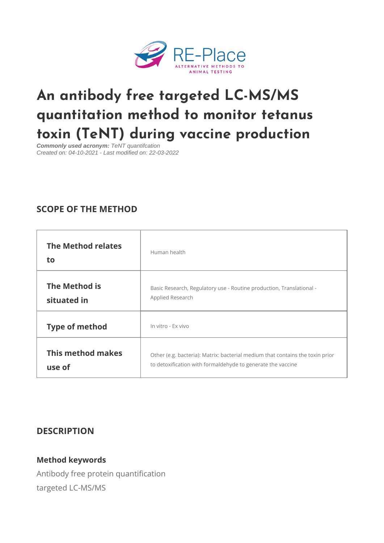# [An antibody free targeted L](https://www.re-place.be/method/antibody-free-targeted-lc-msms-quantitation-method-monitor-tetanus-toxin-tent-during-vaccine)C-MS/ quantitation method to monitor te toxin (TeNT) during vaccine produ

Commonly used acronym: TeNT quantifcation Created on: 04-10-2021 - Last modified on: 22-03-2022

## SCOPE OF THE METHOD

| The Method relates<br>t o    | Human health                                                                                                                                  |  |
|------------------------------|-----------------------------------------------------------------------------------------------------------------------------------------------|--|
| The Method is<br>situated in | Basic Research, Regulatory use - Routine production, Transla<br>Applied Research                                                              |  |
| Type of method               | In vitro - Ex vivo                                                                                                                            |  |
| use of                       | This method makesother (e.g. bacteria): Matrix: bacterial medium that contains<br>to detoxification with formaldehyde to generate the vaccine |  |

### DESCRIPTION

#### Method keywords

Antibody free protein quantification targeted LC-MS/MS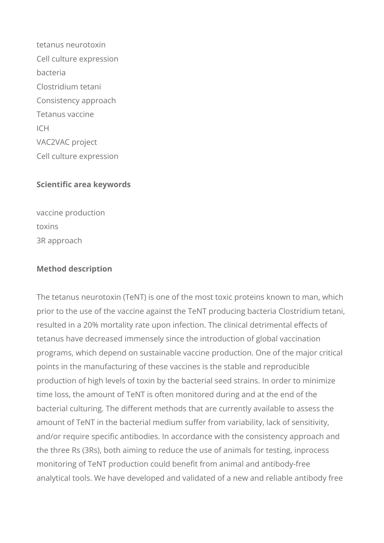tetanus neurotoxin Cell culture expression bacteria Clostridium tetani Consistency approach Tetanus vaccine  $ICH$ VAC2VAC project Cell culture expression

### **Scientific area keywords**

vaccine production toxins 3R approach

#### **Method description**

The tetanus neurotoxin (TeNT) is one of the most toxic proteins known to man, which prior to the use of the vaccine against the TeNT producing bacteria Clostridium tetani, resulted in a 20% mortality rate upon infection. The clinical detrimental effects of tetanus have decreased immensely since the introduction of global vaccination programs, which depend on sustainable vaccine production. One of the major critical points in the manufacturing of these vaccines is the stable and reproducible production of high levels of toxin by the bacterial seed strains. In order to minimize time loss, the amount of TeNT is often monitored during and at the end of the bacterial culturing. The different methods that are currently available to assess the amount of TeNT in the bacterial medium suffer from variability, lack of sensitivity, and/or require specific antibodies. In accordance with the consistency approach and the three Rs (3Rs), both aiming to reduce the use of animals for testing, inprocess monitoring of TeNT production could benefit from animal and antibody-free analytical tools. We have developed and validated of a new and reliable antibody free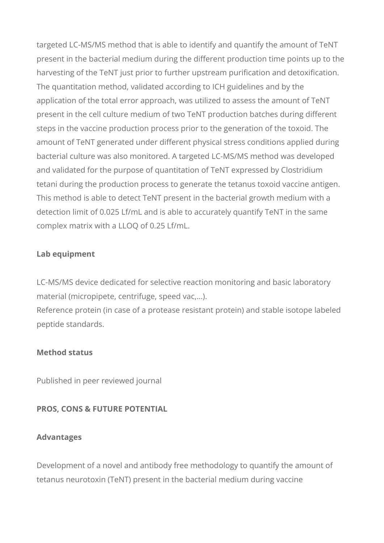targeted LC-MS/MS method that is able to identify and quantify the amount of TeNT present in the bacterial medium during the different production time points up to the harvesting of the TeNT just prior to further upstream purification and detoxification. The quantitation method, validated according to ICH guidelines and by the application of the total error approach, was utilized to assess the amount of TeNT present in the cell culture medium of two TeNT production batches during different steps in the vaccine production process prior to the generation of the toxoid. The amount of TeNT generated under different physical stress conditions applied during bacterial culture was also monitored. A targeted LC-MS/MS method was developed and validated for the purpose of quantitation of TeNT expressed by Clostridium tetani during the production process to generate the tetanus toxoid vaccine antigen. This method is able to detect TeNT present in the bacterial growth medium with a detection limit of 0.025 Lf/mL and is able to accurately quantify TeNT in the same complex matrix with a LLOQ of 0.25 Lf/mL.

### **Lab equipment**

LC-MS/MS device dedicated for selective reaction monitoring and basic laboratory material (micropipete, centrifuge, speed vac,...). Reference protein (in case of a protease resistant protein) and stable isotope labeled peptide standards.

### **Method status**

Published in peer reviewed journal

### **PROS, CONS & FUTURE POTENTIAL**

### **Advantages**

Development of a novel and antibody free methodology to quantify the amount of tetanus neurotoxin (TeNT) present in the bacterial medium during vaccine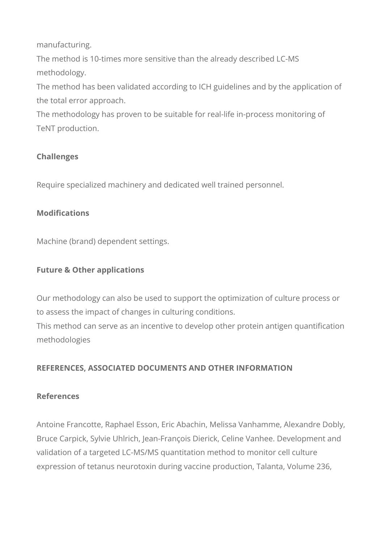manufacturing.

The method is 10-times more sensitive than the already described LC-MS methodology.

The method has been validated according to ICH guidelines and by the application of the total error approach.

The methodology has proven to be suitable for real-life in-process monitoring of TeNT production.

## **Challenges**

Require specialized machinery and dedicated well trained personnel.

## **Modifications**

Machine (brand) dependent settings.

## **Future & Other applications**

Our methodology can also be used to support the optimization of culture process or to assess the impact of changes in culturing conditions.

This method can serve as an incentive to develop other protein antigen quantification methodologies

## **REFERENCES, ASSOCIATED DOCUMENTS AND OTHER INFORMATION**

## **References**

Antoine Francotte, Raphael Esson, Eric Abachin, Melissa Vanhamme, Alexandre Dobly, Bruce Carpick, Sylvie Uhlrich, Jean-François Dierick, Celine Vanhee. Development and validation of a targeted LC-MS/MS quantitation method to monitor cell culture expression of tetanus neurotoxin during vaccine production, Talanta, Volume 236,